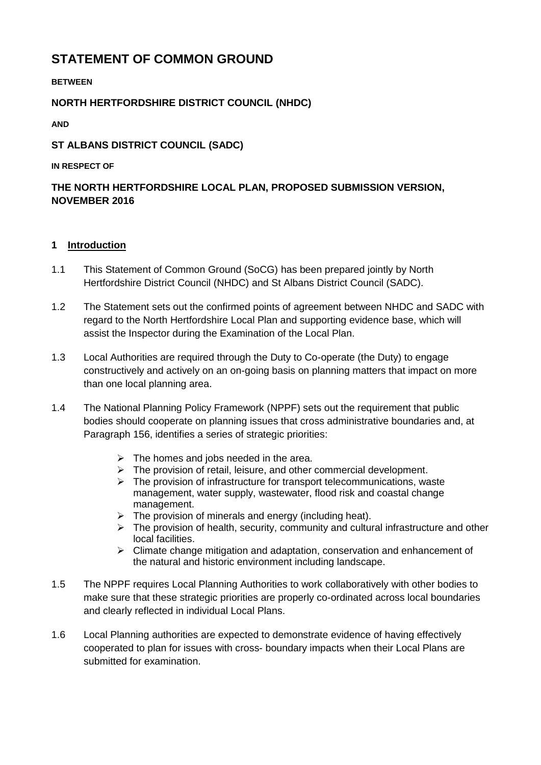# **STATEMENT OF COMMON GROUND**

**BETWEEN** 

## **NORTH HERTFORDSHIRE DISTRICT COUNCIL (NHDC)**

**AND** 

## **ST ALBANS DISTRICT COUNCIL (SADC)**

#### **IN RESPECT OF**

# **THE NORTH HERTFORDSHIRE LOCAL PLAN, PROPOSED SUBMISSION VERSION, NOVEMBER 2016**

### **1 Introduction**

- 1.1 This Statement of Common Ground (SoCG) has been prepared jointly by North Hertfordshire District Council (NHDC) and St Albans District Council (SADC).
- 1.2 The Statement sets out the confirmed points of agreement between NHDC and SADC with regard to the North Hertfordshire Local Plan and supporting evidence base, which will assist the Inspector during the Examination of the Local Plan.
- 1.3 Local Authorities are required through the Duty to Co-operate (the Duty) to engage constructively and actively on an on-going basis on planning matters that impact on more than one local planning area.
- 1.4 The National Planning Policy Framework (NPPF) sets out the requirement that public bodies should cooperate on planning issues that cross administrative boundaries and, at Paragraph 156, identifies a series of strategic priorities:
	- $\triangleright$  The homes and jobs needed in the area.
	- $\triangleright$  The provision of retail, leisure, and other commercial development.
	- $\triangleright$  The provision of infrastructure for transport telecommunications, waste management, water supply, wastewater, flood risk and coastal change management.
	- $\triangleright$  The provision of minerals and energy (including heat).
	- $\triangleright$  The provision of health, security, community and cultural infrastructure and other local facilities.
	- $\triangleright$  Climate change mitigation and adaptation, conservation and enhancement of the natural and historic environment including landscape.
- 1.5 The NPPF requires Local Planning Authorities to work collaboratively with other bodies to make sure that these strategic priorities are properly co-ordinated across local boundaries and clearly reflected in individual Local Plans.
- 1.6 Local Planning authorities are expected to demonstrate evidence of having effectively cooperated to plan for issues with cross- boundary impacts when their Local Plans are submitted for examination.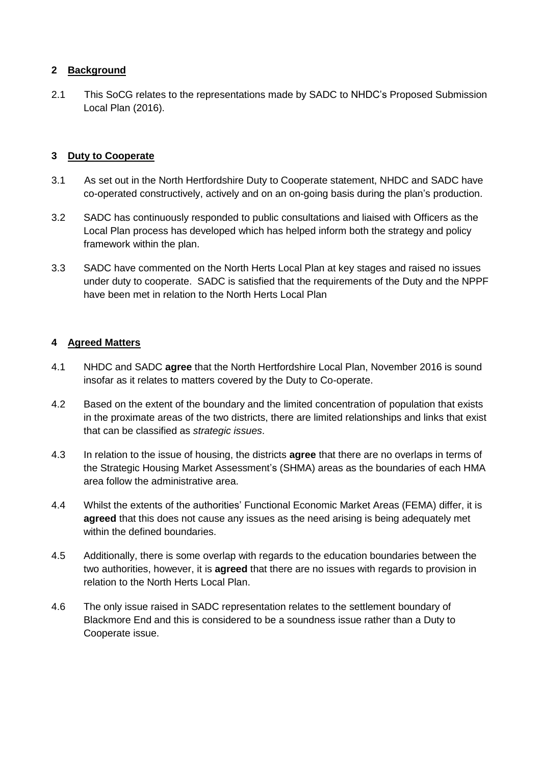### **2 Background**

2.1 This SoCG relates to the representations made by SADC to NHDC's Proposed Submission Local Plan (2016).

### **3 Duty to Cooperate**

- 3.1 As set out in the North Hertfordshire Duty to Cooperate statement, NHDC and SADC have co-operated constructively, actively and on an on-going basis during the plan's production.
- 3.2 SADC has continuously responded to public consultations and liaised with Officers as the Local Plan process has developed which has helped inform both the strategy and policy framework within the plan.
- 3.3 SADC have commented on the North Herts Local Plan at key stages and raised no issues under duty to cooperate. SADC is satisfied that the requirements of the Duty and the NPPF have been met in relation to the North Herts Local Plan

### **4 Agreed Matters**

- 4.1 NHDC and SADC **agree** that the North Hertfordshire Local Plan, November 2016 is sound insofar as it relates to matters covered by the Duty to Co-operate.
- 4.2 Based on the extent of the boundary and the limited concentration of population that exists in the proximate areas of the two districts, there are limited relationships and links that exist that can be classified as *strategic issues*.
- 4.3 In relation to the issue of housing, the districts **agree** that there are no overlaps in terms of the Strategic Housing Market Assessment's (SHMA) areas as the boundaries of each HMA area follow the administrative area.
- 4.4 Whilst the extents of the authorities' Functional Economic Market Areas (FEMA) differ, it is **agreed** that this does not cause any issues as the need arising is being adequately met within the defined boundaries.
- 4.5 Additionally, there is some overlap with regards to the education boundaries between the two authorities, however, it is **agreed** that there are no issues with regards to provision in relation to the North Herts Local Plan.
- 4.6 The only issue raised in SADC representation relates to the settlement boundary of Blackmore End and this is considered to be a soundness issue rather than a Duty to Cooperate issue.